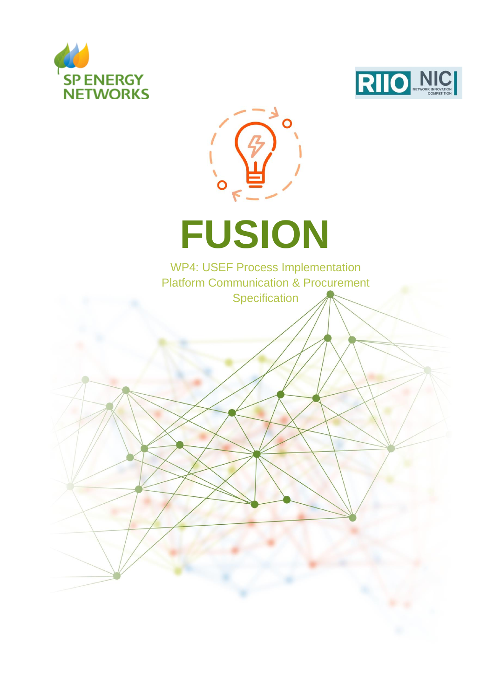





# **FUSION**

WP4: USEF Process Implementation Platform Communication & Procurement **Specification**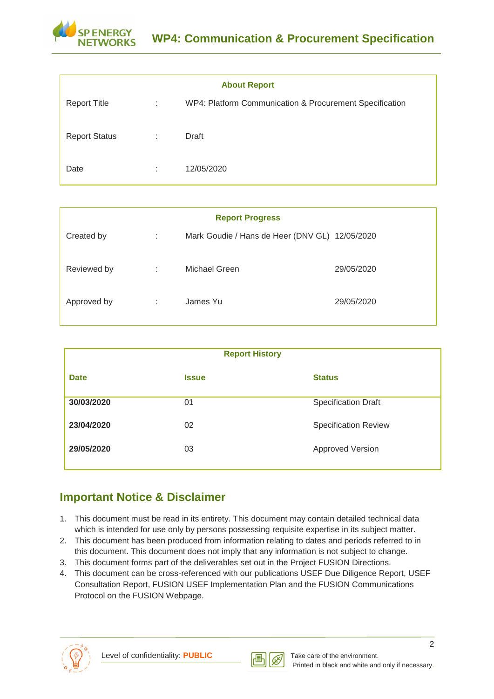

| <b>About Report</b>  |   |                                                         |  |  |  |  |
|----------------------|---|---------------------------------------------------------|--|--|--|--|
| <b>Report Title</b>  | ÷ | WP4: Platform Communication & Procurement Specification |  |  |  |  |
| <b>Report Status</b> | ÷ | Draft                                                   |  |  |  |  |
| Date                 | ÷ | 12/05/2020                                              |  |  |  |  |

| <b>Report Progress</b> |   |                                                |            |  |  |  |  |
|------------------------|---|------------------------------------------------|------------|--|--|--|--|
| Created by             | ÷ | Mark Goudie / Hans de Heer (DNV GL) 12/05/2020 |            |  |  |  |  |
| Reviewed by            | ÷ | Michael Green                                  | 29/05/2020 |  |  |  |  |
| Approved by            | ÷ | James Yu                                       | 29/05/2020 |  |  |  |  |

|             | <b>Report History</b> |                             |
|-------------|-----------------------|-----------------------------|
| <b>Date</b> | <b>Issue</b>          | <b>Status</b>               |
| 30/03/2020  | 01                    | <b>Specification Draft</b>  |
| 23/04/2020  | 02                    | <b>Specification Review</b> |
| 29/05/2020  | 03                    | Approved Version            |
|             |                       |                             |

## <span id="page-1-0"></span>**Important Notice & Disclaimer**

- 1. This document must be read in its entirety. This document may contain detailed technical data which is intended for use only by persons possessing requisite expertise in its subject matter.
- 2. This document has been produced from information relating to dates and periods referred to in this document. This document does not imply that any information is not subject to change.
- 3. This document forms part of the deliverables set out in the Project FUSION Directions.
- 4. This document can be cross-referenced with our publications USEF Due Diligence Report, USEF Consultation Report, FUSION USEF Implementation Plan and the FUSION Communications Protocol on the FUSION Webpage.



Level of confidentiality: **PUBLIC** Take care of the environment.

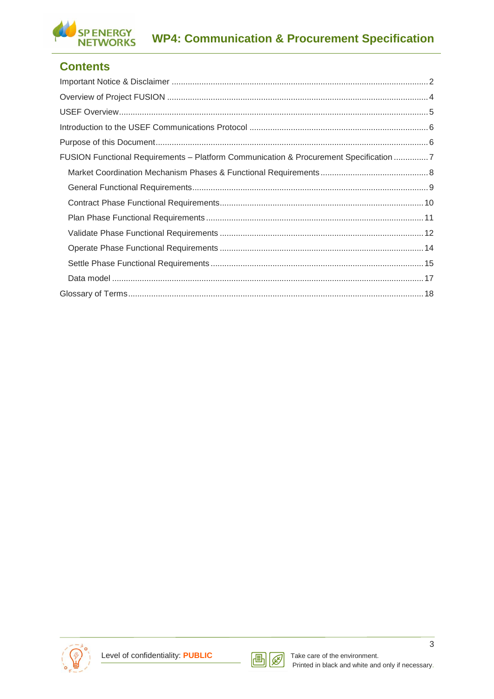

## **Contents**

| FUSION Functional Requirements - Platform Communication & Procurement Specification 7 |
|---------------------------------------------------------------------------------------|
|                                                                                       |
|                                                                                       |
|                                                                                       |
|                                                                                       |
|                                                                                       |
|                                                                                       |
|                                                                                       |
|                                                                                       |
|                                                                                       |



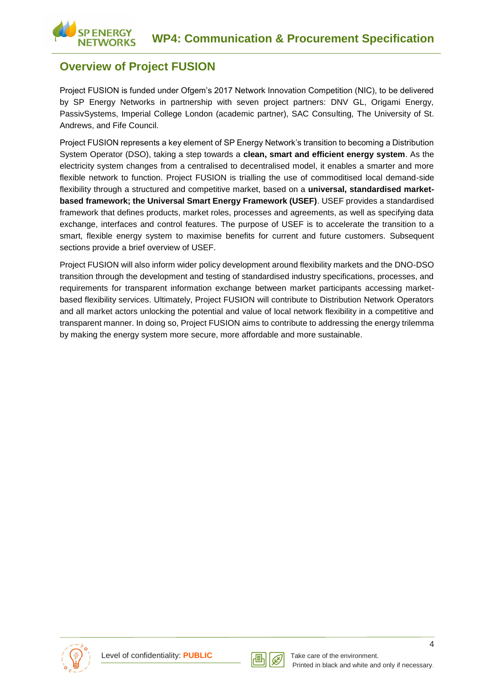## <span id="page-3-0"></span>**Overview of Project FUSION**

**ENERGY** 

Project FUSION is funded under Ofgem's 2017 Network Innovation Competition (NIC), to be delivered by SP Energy Networks in partnership with seven project partners: DNV GL, Origami Energy, PassivSystems, Imperial College London (academic partner), SAC Consulting, The University of St. Andrews, and Fife Council.

Project FUSION represents a key element of SP Energy Network's transition to becoming a Distribution System Operator (DSO), taking a step towards a **clean, smart and efficient energy system**. As the electricity system changes from a centralised to decentralised model, it enables a smarter and more flexible network to function. Project FUSION is trialling the use of commoditised local demand-side flexibility through a structured and competitive market, based on a **universal, standardised marketbased framework; the Universal Smart Energy Framework (USEF)**. USEF provides a standardised framework that defines products, market roles, processes and agreements, as well as specifying data exchange, interfaces and control features. The purpose of USEF is to accelerate the transition to a smart, flexible energy system to maximise benefits for current and future customers. Subsequent sections provide a brief overview of USEF.

<span id="page-3-1"></span>Project FUSION will also inform wider policy development around flexibility markets and the DNO-DSO transition through the development and testing of standardised industry specifications, processes, and requirements for transparent information exchange between market participants accessing marketbased flexibility services. Ultimately, Project FUSION will contribute to Distribution Network Operators and all market actors unlocking the potential and value of local network flexibility in a competitive and transparent manner. In doing so, Project FUSION aims to contribute to addressing the energy trilemma by making the energy system more secure, more affordable and more sustainable.



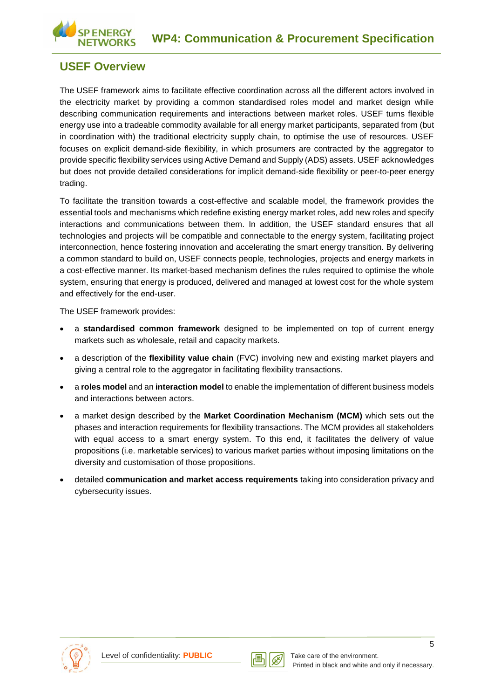

## **USEF Overview**

The USEF framework aims to facilitate effective coordination across all the different actors involved in the electricity market by providing a common standardised roles model and market design while describing communication requirements and interactions between market roles. USEF turns flexible energy use into a tradeable commodity available for all energy market participants, separated from (but in coordination with) the traditional electricity supply chain, to optimise the use of resources. USEF focuses on explicit demand-side flexibility, in which prosumers are contracted by the aggregator to provide specific flexibility services using Active Demand and Supply (ADS) assets. USEF acknowledges but does not provide detailed considerations for implicit demand-side flexibility or peer-to-peer energy trading.

To facilitate the transition towards a cost-effective and scalable model, the framework provides the essential tools and mechanisms which redefine existing energy market roles, add new roles and specify interactions and communications between them. In addition, the USEF standard ensures that all technologies and projects will be compatible and connectable to the energy system, facilitating project interconnection, hence fostering innovation and accelerating the smart energy transition. By delivering a common standard to build on, USEF connects people, technologies, projects and energy markets in a cost-effective manner. Its market-based mechanism defines the rules required to optimise the whole system, ensuring that energy is produced, delivered and managed at lowest cost for the whole system and effectively for the end-user.

The USEF framework provides:

- a **standardised common framework** designed to be implemented on top of current energy markets such as wholesale, retail and capacity markets.
- a description of the **flexibility value chain** (FVC) involving new and existing market players and giving a central role to the aggregator in facilitating flexibility transactions.
- a **roles model** and an **interaction model** to enable the implementation of different business models and interactions between actors.
- a market design described by the **Market Coordination Mechanism (MCM)** which sets out the phases and interaction requirements for flexibility transactions. The MCM provides all stakeholders with equal access to a smart energy system. To this end, it facilitates the delivery of value propositions (i.e. marketable services) to various market parties without imposing limitations on the diversity and customisation of those propositions.
- <span id="page-4-0"></span>• detailed **communication and market access requirements** taking into consideration privacy and cybersecurity issues.



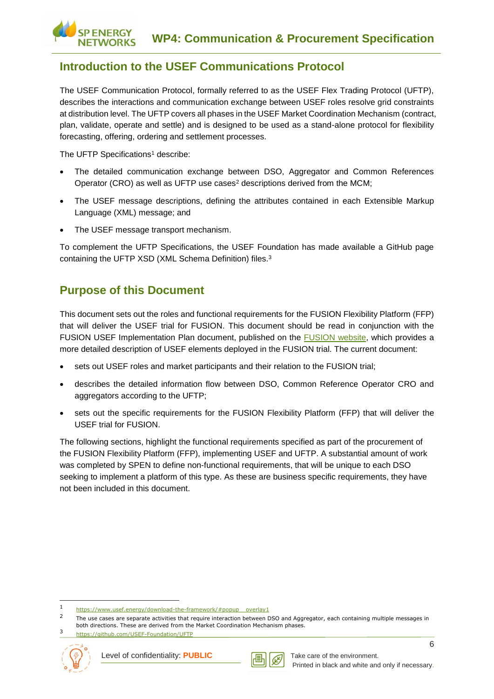## **Introduction to the USEF Communications Protocol**

The USEF Communication Protocol, formally referred to as the USEF Flex Trading Protocol (UFTP), describes the interactions and communication exchange between USEF roles resolve grid constraints at distribution level. The UFTP covers all phases in the USEF Market Coordination Mechanism (contract, plan, validate, operate and settle) and is designed to be used as a stand-alone protocol for flexibility forecasting, offering, ordering and settlement processes.

The UFTP Specifications<sup>1</sup> describe:

**ENERGY** 

- The detailed communication exchange between DSO, Aggregator and Common References Operator (CRO) as well as UFTP use cases<sup>2</sup> descriptions derived from the MCM;
- The USEF message descriptions, defining the attributes contained in each Extensible Markup Language (XML) message; and
- The USEF message transport mechanism.

To complement the UFTP Specifications, the USEF Foundation has made available a GitHub page containing the UFTP XSD (XML Schema Definition) files.<sup>3</sup>

## <span id="page-5-0"></span>**Purpose of this Document**

This document sets out the roles and functional requirements for the FUSION Flexibility Platform (FFP) that will deliver the USEF trial for FUSION. This document should be read in conjunction with the FUSION USEF Implementation Plan document, published on the **FUSION** website, which provides a more detailed description of USEF elements deployed in the FUSION trial. The current document:

- sets out USEF roles and market participants and their relation to the FUSION trial;
- describes the detailed information flow between DSO, Common Reference Operator CRO and aggregators according to the UFTP;
- sets out the specific requirements for the FUSION Flexibility Platform (FFP) that will deliver the USEF trial for FUSION.

<span id="page-5-1"></span>The following sections, highlight the functional requirements specified as part of the procurement of the FUSION Flexibility Platform (FFP), implementing USEF and UFTP. A substantial amount of work was completed by SPEN to define non-functional requirements, that will be unique to each DSO seeking to implement a platform of this type. As these are business specific requirements, they have not been included in this document.

<sup>3</sup> <https://github.com/USEF-Foundation/UFTP>



-



<sup>1</sup> [https://www.usef.energy/download-the-framework/#popup\\_\\_overlay1](https://www.usef.energy/download-the-framework/#popup__overlay1)

 $\overline{2}$ The use cases are separate activities that require interaction between DSO and Aggregator, each containing multiple messages in both directions. These are derived from the Market Coordination Mechanism phases.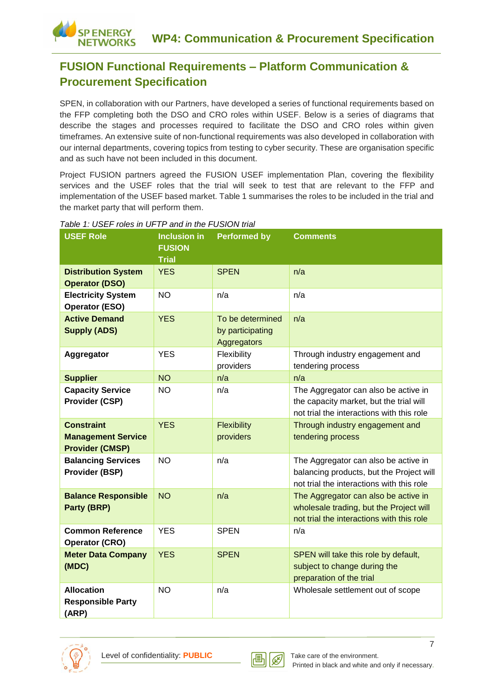## **FUSION Functional Requirements – Platform Communication & Procurement Specification**

SPEN, in collaboration with our Partners, have developed a series of functional requirements based on the FFP completing both the DSO and CRO roles within USEF. Below is a series of diagrams that describe the stages and processes required to facilitate the DSO and CRO roles within given timeframes. An extensive suite of non-functional requirements was also developed in collaboration with our internal departments, covering topics from testing to cyber security. These are organisation specific and as such have not been included in this document.

Project FUSION partners agreed the FUSION USEF implementation Plan, covering the flexibility services and the USEF roles that the trial will seek to test that are relevant to the FFP and implementation of the USEF based market. Table 1 summarises the roles to be included in the trial and the market party that will perform them.

| <b>USEF Role</b>                                                         | <b>Inclusion in</b><br><b>FUSION</b><br><b>Trial</b> | <b>Performed by</b>                                 | <b>Comments</b>                                                                                                               |
|--------------------------------------------------------------------------|------------------------------------------------------|-----------------------------------------------------|-------------------------------------------------------------------------------------------------------------------------------|
| <b>Distribution System</b><br><b>Operator (DSO)</b>                      | <b>YES</b>                                           | <b>SPEN</b>                                         | n/a                                                                                                                           |
| <b>Electricity System</b><br><b>Operator (ESO)</b>                       | <b>NO</b>                                            | n/a                                                 | n/a                                                                                                                           |
| <b>Active Demand</b><br><b>Supply (ADS)</b>                              | <b>YES</b>                                           | To be determined<br>by participating<br>Aggregators | n/a                                                                                                                           |
| Aggregator                                                               | <b>YES</b>                                           | Flexibility<br>providers                            | Through industry engagement and<br>tendering process                                                                          |
| <b>Supplier</b>                                                          | <b>NO</b>                                            | n/a                                                 | n/a                                                                                                                           |
| <b>Capacity Service</b><br>Provider (CSP)                                | <b>NO</b>                                            | n/a                                                 | The Aggregator can also be active in<br>the capacity market, but the trial will<br>not trial the interactions with this role  |
| <b>Constraint</b><br><b>Management Service</b><br><b>Provider (CMSP)</b> | <b>YES</b>                                           | Flexibility<br>providers                            | Through industry engagement and<br>tendering process                                                                          |
| <b>Balancing Services</b><br>Provider (BSP)                              | <b>NO</b>                                            | n/a                                                 | The Aggregator can also be active in<br>balancing products, but the Project will<br>not trial the interactions with this role |
| <b>Balance Responsible</b><br>Party (BRP)                                | <b>NO</b>                                            | n/a                                                 | The Aggregator can also be active in<br>wholesale trading, but the Project will<br>not trial the interactions with this role  |
| <b>Common Reference</b><br><b>Operator (CRO)</b>                         | <b>YES</b>                                           | <b>SPEN</b>                                         | n/a                                                                                                                           |
| <b>Meter Data Company</b><br>(MDC)                                       | <b>YES</b>                                           | <b>SPEN</b>                                         | SPEN will take this role by default,<br>subject to change during the<br>preparation of the trial                              |
| <b>Allocation</b><br><b>Responsible Party</b><br>(ARP)                   | <b>NO</b>                                            | n/a                                                 | Wholesale settlement out of scope                                                                                             |

#### *Table 1: USEF roles in UFTP and in the FUSION trial*

**ENERGY JETWORKS** 



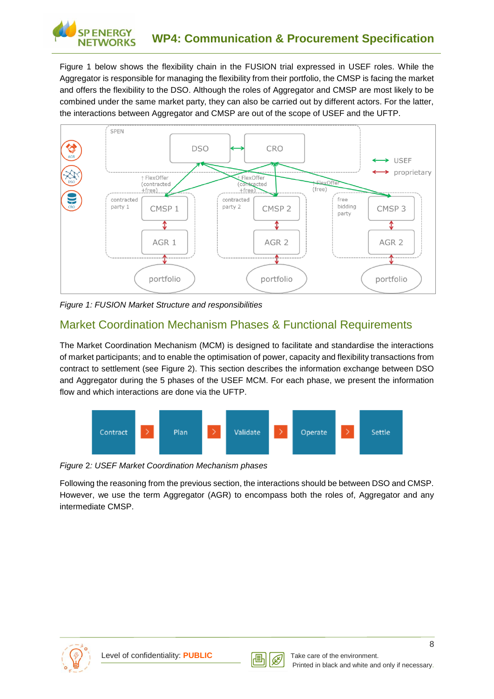

Figure 1 below shows the flexibility chain in the FUSION trial expressed in USEF roles. While the Aggregator is responsible for managing the flexibility from their portfolio, the CMSP is facing the market and offers the flexibility to the DSO. Although the roles of Aggregator and CMSP are most likely to be combined under the same market party, they can also be carried out by different actors. For the latter, the interactions between Aggregator and CMSP are out of the scope of USEF and the UFTP.



*Figure 1: FUSION Market Structure and responsibilities*

## <span id="page-7-0"></span>Market Coordination Mechanism Phases & Functional Requirements

The Market Coordination Mechanism (MCM) is designed to facilitate and standardise the interactions of market participants; and to enable the optimisation of power, capacity and flexibility transactions from contract to settlement (see Figure 2). This section describes the information exchange between DSO and Aggregator during the 5 phases of the USEF MCM. For each phase, we present the information flow and which interactions are done via the UFTP.



*Figure* 2*: USEF Market Coordination Mechanism phases*

<span id="page-7-1"></span>Following the reasoning from the previous section, the interactions should be between DSO and CMSP. However, we use the term Aggregator (AGR) to encompass both the roles of, Aggregator and any intermediate CMSP.



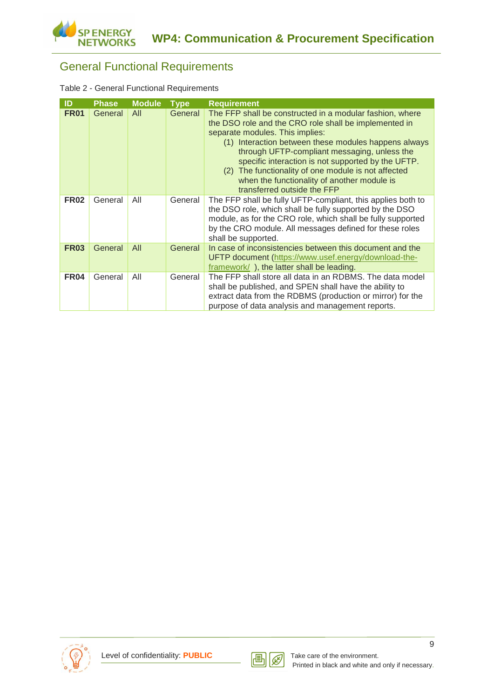## General Functional Requirements

| Table 2 - General Functional Requirements |  |  |  |  |
|-------------------------------------------|--|--|--|--|
|-------------------------------------------|--|--|--|--|

| ID          | <b>Phase</b> | <b>Module</b> | <b>Type</b> | <b>Requirement</b>                                                                                                                                                                                                                                                                                                                                                                                                                                      |
|-------------|--------------|---------------|-------------|---------------------------------------------------------------------------------------------------------------------------------------------------------------------------------------------------------------------------------------------------------------------------------------------------------------------------------------------------------------------------------------------------------------------------------------------------------|
| <b>FR01</b> | General      | All           | General     | The FFP shall be constructed in a modular fashion, where<br>the DSO role and the CRO role shall be implemented in<br>separate modules. This implies:<br>(1) Interaction between these modules happens always<br>through UFTP-compliant messaging, unless the<br>specific interaction is not supported by the UFTP.<br>(2) The functionality of one module is not affected<br>when the functionality of another module is<br>transferred outside the FFP |
| <b>FR02</b> | General      | All           | General     | The FFP shall be fully UFTP-compliant, this applies both to<br>the DSO role, which shall be fully supported by the DSO<br>module, as for the CRO role, which shall be fully supported<br>by the CRO module. All messages defined for these roles<br>shall be supported.                                                                                                                                                                                 |
| <b>FR03</b> | General      | All           | General     | In case of inconsistencies between this document and the<br>UFTP document (https://www.usef.energy/download-the-<br>framework/), the latter shall be leading.                                                                                                                                                                                                                                                                                           |
| <b>FR04</b> | General      | All           | General     | The FFP shall store all data in an RDBMS. The data model<br>shall be published, and SPEN shall have the ability to<br>extract data from the RDBMS (production or mirror) for the<br>purpose of data analysis and management reports.                                                                                                                                                                                                                    |



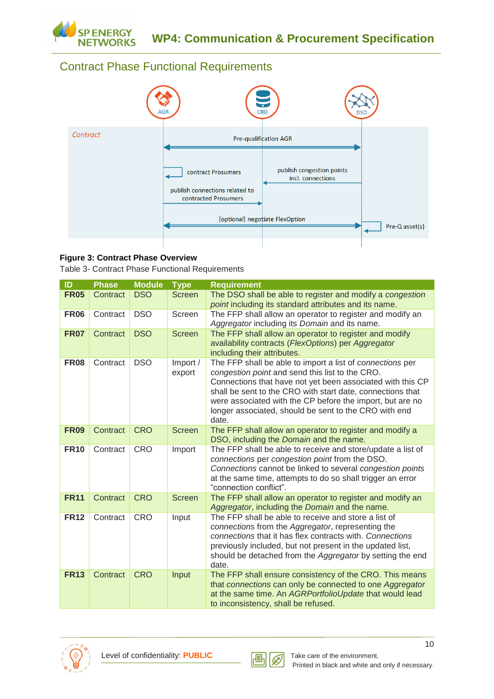

## <span id="page-9-0"></span>Contract Phase Functional Requirements



#### **Figure 3: Contract Phase Overview**

Table 3- Contract Phase Functional Requirements

| ID          | <b>Phase</b> | <b>Module</b> | <b>Type</b>        | <b>Requirement</b>                                                                                                                                                                                                                                                                                                                                                      |
|-------------|--------------|---------------|--------------------|-------------------------------------------------------------------------------------------------------------------------------------------------------------------------------------------------------------------------------------------------------------------------------------------------------------------------------------------------------------------------|
| <b>FR05</b> | Contract     | <b>DSO</b>    | <b>Screen</b>      | The DSO shall be able to register and modify a congestion<br>point including its standard attributes and its name.                                                                                                                                                                                                                                                      |
| <b>FR06</b> | Contract     | <b>DSO</b>    | Screen             | The FFP shall allow an operator to register and modify an<br>Aggregator including its Domain and its name.                                                                                                                                                                                                                                                              |
| <b>FR07</b> | Contract     | <b>DSO</b>    | <b>Screen</b>      | The FFP shall allow an operator to register and modify<br>availability contracts (FlexOptions) per Aggregator<br>including their attributes.                                                                                                                                                                                                                            |
| <b>FR08</b> | Contract     | <b>DSO</b>    | Import /<br>export | The FFP shall be able to import a list of connections per<br>congestion point and send this list to the CRO.<br>Connections that have not yet been associated with this CP<br>shall be sent to the CRO with start date, connections that<br>were associated with the CP before the import, but are no<br>longer associated, should be sent to the CRO with end<br>date. |
| <b>FR09</b> | Contract     | <b>CRO</b>    | <b>Screen</b>      | The FFP shall allow an operator to register and modify a<br>DSO, including the Domain and the name.                                                                                                                                                                                                                                                                     |
| <b>FR10</b> | Contract     | <b>CRO</b>    | Import             | The FFP shall be able to receive and store/update a list of<br>connections per congestion point from the DSO.<br>Connections cannot be linked to several congestion points<br>at the same time, attempts to do so shall trigger an error<br>"connection conflict".                                                                                                      |
| <b>FR11</b> | Contract     | <b>CRO</b>    | <b>Screen</b>      | The FFP shall allow an operator to register and modify an<br>Aggregator, including the Domain and the name.                                                                                                                                                                                                                                                             |
| <b>FR12</b> | Contract     | <b>CRO</b>    | Input              | The FFP shall be able to receive and store a list of<br>connections from the Aggregator, representing the<br>connections that it has flex contracts with. Connections<br>previously included, but not present in the updated list,<br>should be detached from the Aggregator by setting the end<br>date.                                                                |
| <b>FR13</b> | Contract     | <b>CRO</b>    | Input              | The FFP shall ensure consistency of the CRO. This means<br>that connections can only be connected to one Aggregator<br>at the same time. An AGRPortfolioUpdate that would lead<br>to inconsistency, shall be refused.                                                                                                                                                   |





10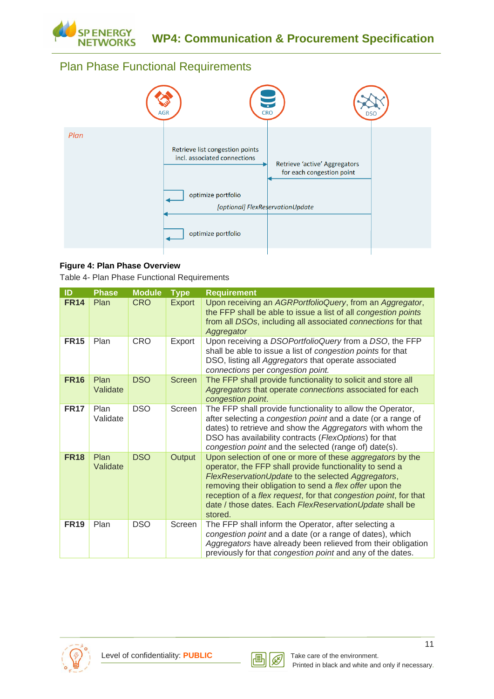

## <span id="page-10-0"></span>Plan Phase Functional Requirements



#### **Figure 4: Plan Phase Overview**

Table 4- Plan Phase Functional Requirements

| ID          | <b>Phase</b>     | <b>Module</b> | <b>Type</b>   | <b>Requirement</b>                                                                                                                                                                                                                                                                                                                                                              |
|-------------|------------------|---------------|---------------|---------------------------------------------------------------------------------------------------------------------------------------------------------------------------------------------------------------------------------------------------------------------------------------------------------------------------------------------------------------------------------|
| <b>FR14</b> | Plan             | <b>CRO</b>    | Export        | Upon receiving an AGRPortfolioQuery, from an Aggregator,<br>the FFP shall be able to issue a list of all congestion points<br>from all DSOs, including all associated connections for that<br>Aggregator                                                                                                                                                                        |
| <b>FR15</b> | Plan             | <b>CRO</b>    | Export        | Upon receiving a DSOPortfolioQuery from a DSO, the FFP<br>shall be able to issue a list of congestion points for that<br>DSO, listing all Aggregators that operate associated<br>connections per congestion point.                                                                                                                                                              |
| <b>FR16</b> | Plan<br>Validate | <b>DSO</b>    | <b>Screen</b> | The FFP shall provide functionality to solicit and store all<br>Aggregators that operate connections associated for each<br>congestion point.                                                                                                                                                                                                                                   |
| <b>FR17</b> | Plan<br>Validate | <b>DSO</b>    | Screen        | The FFP shall provide functionality to allow the Operator,<br>after selecting a congestion point and a date (or a range of<br>dates) to retrieve and show the Aggregators with whom the<br>DSO has availability contracts (FlexOptions) for that<br>congestion point and the selected (range of) date(s).                                                                       |
| <b>FR18</b> | Plan<br>Validate | <b>DSO</b>    | Output        | Upon selection of one or more of these aggregators by the<br>operator, the FFP shall provide functionality to send a<br>FlexReservationUpdate to the selected Aggregators,<br>removing their obligation to send a flex offer upon the<br>reception of a flex request, for that congestion point, for that<br>date / those dates. Each FlexReservationUpdate shall be<br>stored. |
| <b>FR19</b> | Plan             | <b>DSO</b>    | Screen        | The FFP shall inform the Operator, after selecting a<br>congestion point and a date (or a range of dates), which<br>Aggregators have already been relieved from their obligation<br>previously for that congestion point and any of the dates.                                                                                                                                  |



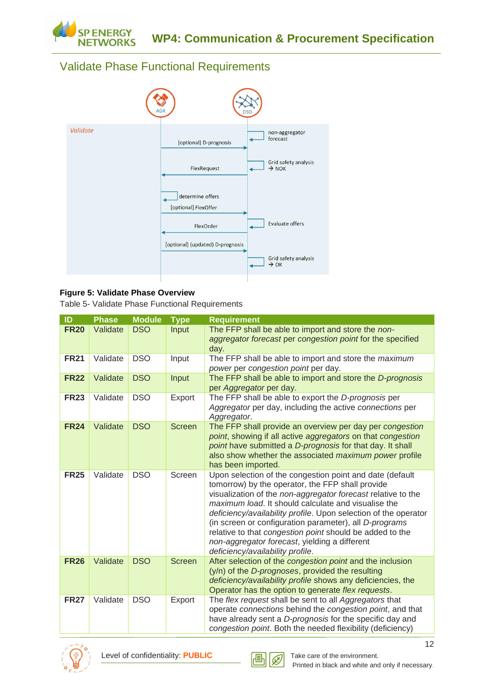

## <span id="page-11-0"></span>Validate Phase Functional Requirements



#### **Figure 5: Validate Phase Overview**

Table 5- Validate Phase Functional Requirements

| ID          | <b>Phase</b> | <b>Module</b> | <b>Type</b>   | <b>Requirement</b>                                                                                                                                                                                                                                                                                                                                                                                                                                                                                                |
|-------------|--------------|---------------|---------------|-------------------------------------------------------------------------------------------------------------------------------------------------------------------------------------------------------------------------------------------------------------------------------------------------------------------------------------------------------------------------------------------------------------------------------------------------------------------------------------------------------------------|
| <b>FR20</b> | Validate     | <b>DSO</b>    | Input         | The FFP shall be able to import and store the non-<br>aggregator forecast per congestion point for the specified<br>day.                                                                                                                                                                                                                                                                                                                                                                                          |
| <b>FR21</b> | Validate     | <b>DSO</b>    | Input         | The FFP shall be able to import and store the maximum<br>power per congestion point per day.                                                                                                                                                                                                                                                                                                                                                                                                                      |
| <b>FR22</b> | Validate     | <b>DSO</b>    | Input         | The FFP shall be able to import and store the D-prognosis<br>per Aggregator per day.                                                                                                                                                                                                                                                                                                                                                                                                                              |
| <b>FR23</b> | Validate     | <b>DSO</b>    | Export        | The FFP shall be able to export the D-prognosis per<br>Aggregator per day, including the active connections per<br>Aggregator.                                                                                                                                                                                                                                                                                                                                                                                    |
| <b>FR24</b> | Validate     | <b>DSO</b>    | <b>Screen</b> | The FFP shall provide an overview per day per congestion<br>point, showing if all active aggregators on that congestion<br>point have submitted a D-prognosis for that day. It shall<br>also show whether the associated maximum power profile<br>has been imported.                                                                                                                                                                                                                                              |
| <b>FR25</b> | Validate     | <b>DSO</b>    | Screen        | Upon selection of the congestion point and date (default<br>tomorrow) by the operator, the FFP shall provide<br>visualization of the non-aggregator forecast relative to the<br>maximum load. It should calculate and visualise the<br>deficiency/availability profile. Upon selection of the operator<br>(in screen or configuration parameter), all D-programs<br>relative to that congestion point should be added to the<br>non-aggregator forecast, yielding a different<br>deficiency/availability profile. |
| <b>FR26</b> | Validate     | <b>DSO</b>    | Screen        | After selection of the congestion point and the inclusion<br>(y/n) of the D-prognoses, provided the resulting<br>deficiency/availability profile shows any deficiencies, the<br>Operator has the option to generate flex requests.                                                                                                                                                                                                                                                                                |
| <b>FR27</b> | Validate     | <b>DSO</b>    | Export        | The flex request shall be sent to all Aggregators that<br>operate connections behind the congestion point, and that<br>have already sent a D-prognosis for the specific day and<br>congestion point. Both the needed flexibility (deficiency)                                                                                                                                                                                                                                                                     |



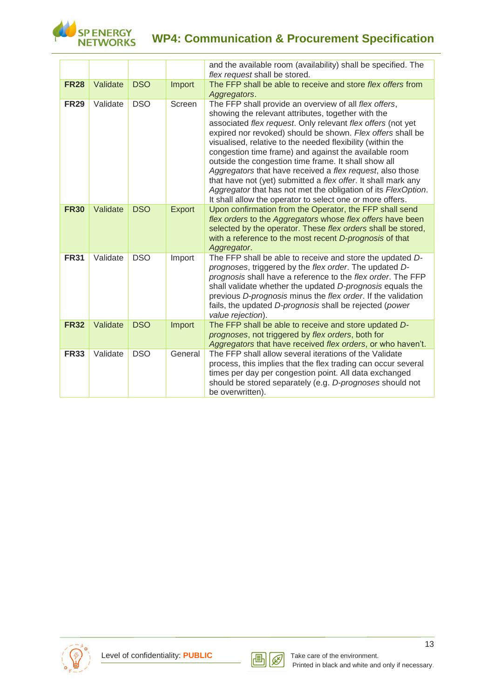

# **WP4: Communication & Procurement Specification**

|             |          |            |               | and the available room (availability) shall be specified. The<br>flex request shall be stored.                                                                                                                                                                                                                                                                                                                                                                                                                                                                                                                                                                                      |
|-------------|----------|------------|---------------|-------------------------------------------------------------------------------------------------------------------------------------------------------------------------------------------------------------------------------------------------------------------------------------------------------------------------------------------------------------------------------------------------------------------------------------------------------------------------------------------------------------------------------------------------------------------------------------------------------------------------------------------------------------------------------------|
| <b>FR28</b> | Validate | <b>DSO</b> | Import        | The FFP shall be able to receive and store flex offers from<br>Aggregators.                                                                                                                                                                                                                                                                                                                                                                                                                                                                                                                                                                                                         |
| <b>FR29</b> | Validate | <b>DSO</b> | Screen        | The FFP shall provide an overview of all flex offers,<br>showing the relevant attributes, together with the<br>associated flex request. Only relevant flex offers (not yet<br>expired nor revoked) should be shown. Flex offers shall be<br>visualised, relative to the needed flexibility (within the<br>congestion time frame) and against the available room<br>outside the congestion time frame. It shall show all<br>Aggregators that have received a flex request, also those<br>that have not (yet) submitted a flex offer. It shall mark any<br>Aggregator that has not met the obligation of its FlexOption.<br>It shall allow the operator to select one or more offers. |
| <b>FR30</b> | Validate | <b>DSO</b> | <b>Export</b> | Upon confirmation from the Operator, the FFP shall send<br>flex orders to the Aggregators whose flex offers have been<br>selected by the operator. These flex orders shall be stored,<br>with a reference to the most recent D-prognosis of that<br>Aggregator.                                                                                                                                                                                                                                                                                                                                                                                                                     |
| <b>FR31</b> | Validate | <b>DSO</b> | Import        | The FFP shall be able to receive and store the updated D-<br>prognoses, triggered by the flex order. The updated D-<br>prognosis shall have a reference to the flex order. The FFP<br>shall validate whether the updated D-prognosis equals the<br>previous D-prognosis minus the flex order. If the validation<br>fails, the updated D-prognosis shall be rejected (power<br>value rejection).                                                                                                                                                                                                                                                                                     |
| <b>FR32</b> | Validate | <b>DSO</b> | Import        | The FFP shall be able to receive and store updated D-<br>prognoses, not triggered by flex orders, both for<br>Aggregators that have received flex orders, or who haven't.                                                                                                                                                                                                                                                                                                                                                                                                                                                                                                           |
| <b>FR33</b> | Validate | <b>DSO</b> | General       | The FFP shall allow several iterations of the Validate<br>process, this implies that the flex trading can occur several<br>times per day per congestion point. All data exchanged<br>should be stored separately (e.g. D-prognoses should not<br>be overwritten).                                                                                                                                                                                                                                                                                                                                                                                                                   |



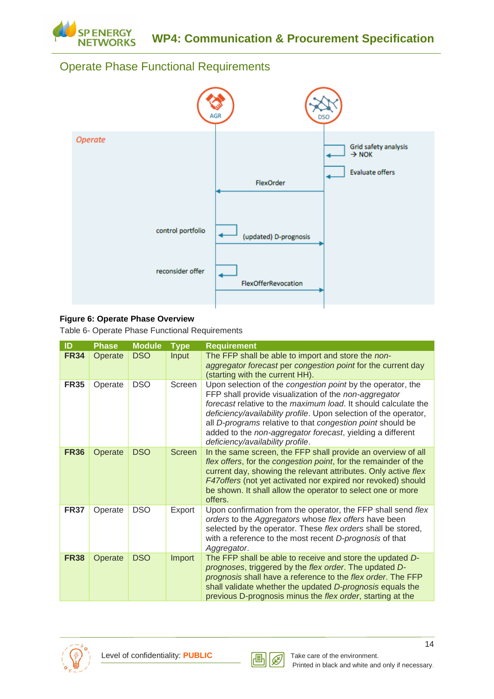

## <span id="page-13-0"></span>Operate Phase Functional Requirements



#### **Figure 6: Operate Phase Overview**

Table 6- Operate Phase Functional Requirements

| ID          | <b>Phase</b> | <b>Module</b> | <b>Type</b>   | <b>Requirement</b>                                                                                                                                                                                                                                                                                                                                                                                                         |
|-------------|--------------|---------------|---------------|----------------------------------------------------------------------------------------------------------------------------------------------------------------------------------------------------------------------------------------------------------------------------------------------------------------------------------------------------------------------------------------------------------------------------|
| <b>FR34</b> | Operate      | <b>DSO</b>    | Input         | The FFP shall be able to import and store the non-<br>aggregator forecast per congestion point for the current day<br>(starting with the current HH).                                                                                                                                                                                                                                                                      |
| <b>FR35</b> | Operate      | <b>DSO</b>    | Screen        | Upon selection of the congestion point by the operator, the<br>FFP shall provide visualization of the non-aggregator<br>forecast relative to the maximum load. It should calculate the<br>deficiency/availability profile. Upon selection of the operator,<br>all D-programs relative to that congestion point should be<br>added to the non-aggregator forecast, yielding a different<br>deficiency/availability profile. |
| <b>FR36</b> | Operate      | <b>DSO</b>    | <b>Screen</b> | In the same screen, the FFP shall provide an overview of all<br>flex offers, for the congestion point, for the remainder of the<br>current day, showing the relevant attributes. Only active flex<br>F47offers (not yet activated nor expired nor revoked) should<br>be shown. It shall allow the operator to select one or more<br>offers.                                                                                |
| <b>FR37</b> | Operate      | <b>DSO</b>    | Export        | Upon confirmation from the operator, the FFP shall send flex<br>orders to the Aggregators whose flex offers have been<br>selected by the operator. These flex orders shall be stored,<br>with a reference to the most recent D-prognosis of that<br>Aggregator.                                                                                                                                                            |
| <b>FR38</b> | Operate      | <b>DSO</b>    | Import        | The FFP shall be able to receive and store the updated D-<br>prognoses, triggered by the flex order. The updated D-<br>prognosis shall have a reference to the flex order. The FFP<br>shall validate whether the updated D-prognosis equals the<br>previous D-prognosis minus the flex order, starting at the                                                                                                              |



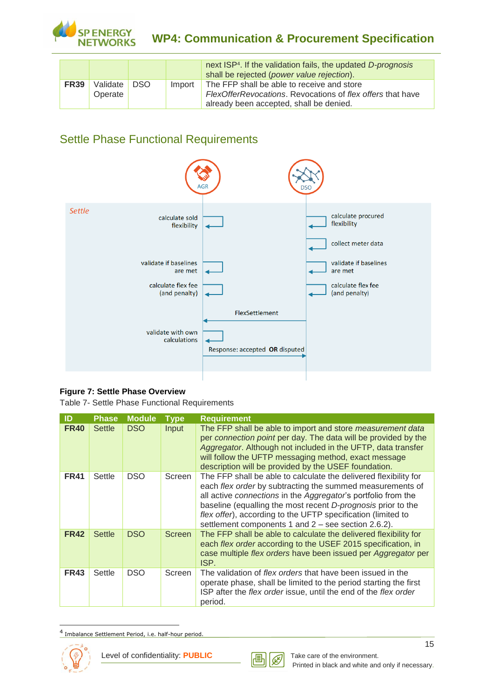

## **WP4: Communication & Procurement Specification**

|             |                     |      |        | next ISP <sup>4</sup> . If the validation fails, the updated D-prognosis<br>shall be rejected (power value rejection). |
|-------------|---------------------|------|--------|------------------------------------------------------------------------------------------------------------------------|
| <b>FR39</b> | Validate<br>Operate | DSO. | Import | The FFP shall be able to receive and store<br>FlexOfferRevocations. Revocations of flex offers that have               |
|             |                     |      |        | already been accepted, shall be denied.                                                                                |

## <span id="page-14-0"></span>Settle Phase Functional Requirements



#### **Figure 7: Settle Phase Overview**

Table 7- Settle Phase Functional Requirements

| ID          | <b>Phase</b>  | <b>Module</b> | <b>Type</b> | <b>Requirement</b>                                                                                                                                                                                                                                                                                                                                                                    |
|-------------|---------------|---------------|-------------|---------------------------------------------------------------------------------------------------------------------------------------------------------------------------------------------------------------------------------------------------------------------------------------------------------------------------------------------------------------------------------------|
| <b>FR40</b> | <b>Settle</b> | DSO           | Input       | The FFP shall be able to import and store measurement data<br>per connection point per day. The data will be provided by the<br>Aggregator. Although not included in the UFTP, data transfer<br>will follow the UFTP messaging method, exact message<br>description will be provided by the USEF foundation.                                                                          |
| <b>FR41</b> | Settle        | <b>DSO</b>    | Screen      | The FFP shall be able to calculate the delivered flexibility for<br>each flex order by subtracting the summed measurements of<br>all active connections in the Aggregator's portfolio from the<br>baseline (equalling the most recent D-prognosis prior to the<br>flex offer), according to the UFTP specification (limited to<br>settlement components 1 and 2 – see section 2.6.2). |
| <b>FR42</b> | <b>Settle</b> | <b>DSO</b>    | Screen      | The FFP shall be able to calculate the delivered flexibility for<br>each flex order according to the USEF 2015 specification, in<br>case multiple flex orders have been issued per Aggregator per<br>ISP.                                                                                                                                                                             |
| <b>FR43</b> | Settle        | DSO.          | Screen      | The validation of <i>flex orders</i> that have been issued in the<br>operate phase, shall be limited to the period starting the first<br>ISP after the flex order issue, until the end of the flex order<br>period.                                                                                                                                                                   |

<sup>4</sup> Imbalance Settlement Period, i.e. half-hour period.



-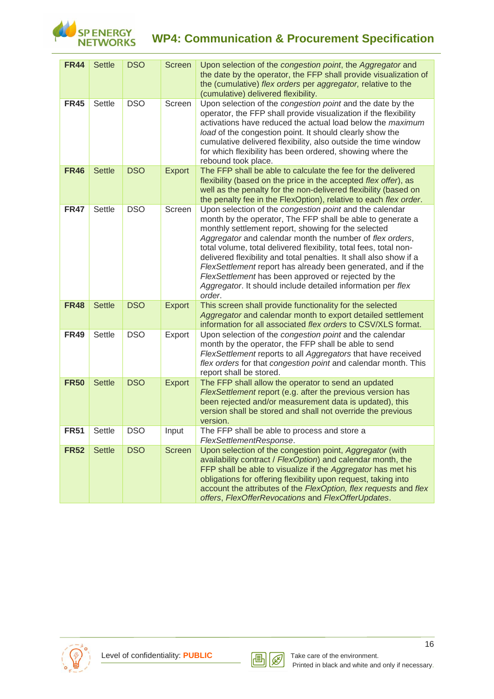

# **WP4: Communication & Procurement Specification**

| <b>FR44</b> | <b>Settle</b> | <b>DSO</b> | <b>Screen</b> | Upon selection of the congestion point, the Aggregator and<br>the date by the operator, the FFP shall provide visualization of<br>the (cumulative) flex orders per aggregator, relative to the<br>(cumulative) delivered flexibility.                                                                                                                                                                                                                                                                                                                                               |
|-------------|---------------|------------|---------------|-------------------------------------------------------------------------------------------------------------------------------------------------------------------------------------------------------------------------------------------------------------------------------------------------------------------------------------------------------------------------------------------------------------------------------------------------------------------------------------------------------------------------------------------------------------------------------------|
| <b>FR45</b> | Settle        | <b>DSO</b> | Screen        | Upon selection of the congestion point and the date by the<br>operator, the FFP shall provide visualization if the flexibility<br>activations have reduced the actual load below the maximum<br>load of the congestion point. It should clearly show the<br>cumulative delivered flexibility, also outside the time window<br>for which flexibility has been ordered, showing where the<br>rebound took place.                                                                                                                                                                      |
| <b>FR46</b> | <b>Settle</b> | <b>DSO</b> | <b>Export</b> | The FFP shall be able to calculate the fee for the delivered<br>flexibility (based on the price in the accepted flex offer), as<br>well as the penalty for the non-delivered flexibility (based on<br>the penalty fee in the FlexOption), relative to each flex order.                                                                                                                                                                                                                                                                                                              |
| <b>FR47</b> | Settle        | <b>DSO</b> | Screen        | Upon selection of the congestion point and the calendar<br>month by the operator, The FFP shall be able to generate a<br>monthly settlement report, showing for the selected<br>Aggregator and calendar month the number of flex orders,<br>total volume, total delivered flexibility, total fees, total non-<br>delivered flexibility and total penalties. It shall also show if a<br>FlexSettlement report has already been generated, and if the<br>FlexSettlement has been approved or rejected by the<br>Aggregator. It should include detailed information per flex<br>order. |
| <b>FR48</b> | <b>Settle</b> | <b>DSO</b> | <b>Export</b> | This screen shall provide functionality for the selected<br>Aggregator and calendar month to export detailed settlement<br>information for all associated flex orders to CSV/XLS format.                                                                                                                                                                                                                                                                                                                                                                                            |
| <b>FR49</b> | Settle        | <b>DSO</b> | Export        | Upon selection of the congestion point and the calendar<br>month by the operator, the FFP shall be able to send<br>FlexSettlement reports to all Aggregators that have received<br>flex orders for that congestion point and calendar month. This<br>report shall be stored.                                                                                                                                                                                                                                                                                                        |
| <b>FR50</b> | <b>Settle</b> | <b>DSO</b> | <b>Export</b> | The FFP shall allow the operator to send an updated<br>FlexSettlement report (e.g. after the previous version has<br>been rejected and/or measurement data is updated), this<br>version shall be stored and shall not override the previous<br>version.                                                                                                                                                                                                                                                                                                                             |
| <b>FR51</b> | Settle        | <b>DSO</b> | Input         | The FFP shall be able to process and store a<br>FlexSettlementResponse.                                                                                                                                                                                                                                                                                                                                                                                                                                                                                                             |
| <b>FR52</b> | <b>Settle</b> | <b>DSO</b> | <b>Screen</b> | Upon selection of the congestion point, Aggregator (with<br>availability contract / FlexOption) and calendar month, the<br>FFP shall be able to visualize if the Aggregator has met his<br>obligations for offering flexibility upon request, taking into<br>account the attributes of the FlexOption, flex requests and flex<br>offers, FlexOfferRevocations and FlexOfferUpdates.                                                                                                                                                                                                 |

<span id="page-15-0"></span>

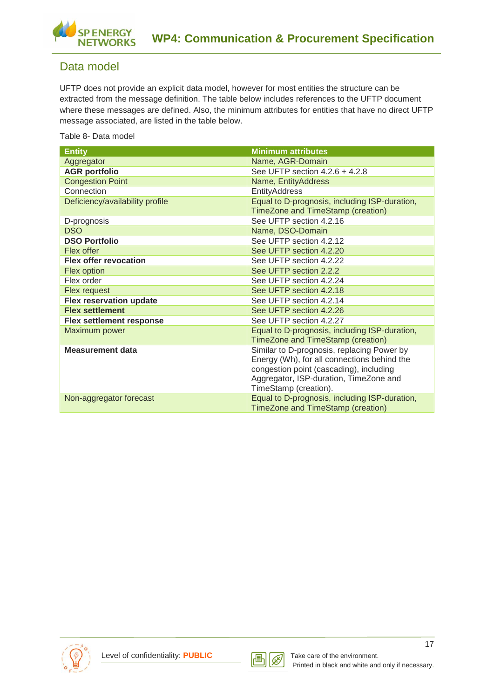

### Data model

UFTP does not provide an explicit data model, however for most entities the structure can be extracted from the message definition. The table below includes references to the UFTP document where these messages are defined. Also, the minimum attributes for entities that have no direct UFTP message associated, are listed in the table below.

Table 8- Data model

| <b>Entity</b>                   | <b>Minimum attributes</b>                     |
|---------------------------------|-----------------------------------------------|
| Aggregator                      | Name, AGR-Domain                              |
| <b>AGR portfolio</b>            | See UFTP section 4.2.6 + 4.2.8                |
| <b>Congestion Point</b>         | Name, EntityAddress                           |
| Connection                      | EntityAddress                                 |
| Deficiency/availability profile | Equal to D-prognosis, including ISP-duration, |
|                                 | TimeZone and TimeStamp (creation)             |
| D-prognosis                     | See UFTP section 4.2.16                       |
| <b>DSO</b>                      | Name, DSO-Domain                              |
| <b>DSO Portfolio</b>            | See UFTP section 4.2.12                       |
| Flex offer                      | See UFTP section 4.2.20                       |
| <b>Flex offer revocation</b>    | See UFTP section 4.2.22                       |
| <b>Flex option</b>              | See UFTP section 2.2.2                        |
| Flex order                      | See UFTP section 4.2.24                       |
| Flex request                    | See UFTP section 4.2.18                       |
| <b>Flex reservation update</b>  | See UFTP section 4.2.14                       |
| <b>Flex settlement</b>          | See UFTP section 4.2.26                       |
| <b>Flex settlement response</b> | See UFTP section 4.2.27                       |
| Maximum power                   | Equal to D-prognosis, including ISP-duration, |
|                                 | TimeZone and TimeStamp (creation)             |
| <b>Measurement data</b>         | Similar to D-prognosis, replacing Power by    |
|                                 | Energy (Wh), for all connections behind the   |
|                                 | congestion point (cascading), including       |
|                                 | Aggregator, ISP-duration, TimeZone and        |
|                                 | TimeStamp (creation).                         |
| Non-aggregator forecast         | Equal to D-prognosis, including ISP-duration, |
|                                 | TimeZone and TimeStamp (creation)             |



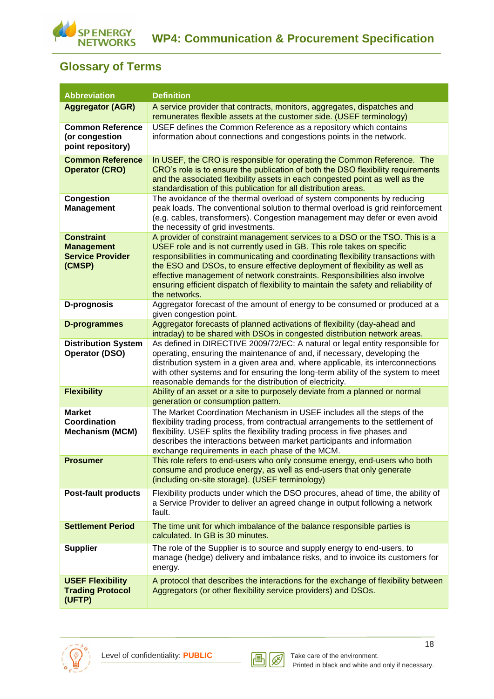

## <span id="page-17-0"></span>**Glossary of Terms**

| <b>Abbreviation</b>                                                         | <b>Definition</b>                                                                                                                                                                                                                                                                                                                                                                                                                                                                                              |
|-----------------------------------------------------------------------------|----------------------------------------------------------------------------------------------------------------------------------------------------------------------------------------------------------------------------------------------------------------------------------------------------------------------------------------------------------------------------------------------------------------------------------------------------------------------------------------------------------------|
| <b>Aggregator (AGR)</b>                                                     | A service provider that contracts, monitors, aggregates, dispatches and<br>remunerates flexible assets at the customer side. (USEF terminology)                                                                                                                                                                                                                                                                                                                                                                |
| <b>Common Reference</b><br>(or congestion<br>point repository)              | USEF defines the Common Reference as a repository which contains<br>information about connections and congestions points in the network.                                                                                                                                                                                                                                                                                                                                                                       |
| <b>Common Reference</b><br><b>Operator (CRO)</b>                            | In USEF, the CRO is responsible for operating the Common Reference. The<br>CRO's role is to ensure the publication of both the DSO flexibility requirements<br>and the associated flexibility assets in each congested point as well as the<br>standardisation of this publication for all distribution areas.                                                                                                                                                                                                 |
| <b>Congestion</b><br><b>Management</b>                                      | The avoidance of the thermal overload of system components by reducing<br>peak loads. The conventional solution to thermal overload is grid reinforcement<br>(e.g. cables, transformers). Congestion management may defer or even avoid<br>the necessity of grid investments.                                                                                                                                                                                                                                  |
| <b>Constraint</b><br><b>Management</b><br><b>Service Provider</b><br>(CMSP) | A provider of constraint management services to a DSO or the TSO. This is a<br>USEF role and is not currently used in GB. This role takes on specific<br>responsibilities in communicating and coordinating flexibility transactions with<br>the ESO and DSOs, to ensure effective deployment of flexibility as well as<br>effective management of network constraints. Responsibilities also involve<br>ensuring efficient dispatch of flexibility to maintain the safety and reliability of<br>the networks. |
| D-prognosis                                                                 | Aggregator forecast of the amount of energy to be consumed or produced at a<br>given congestion point.                                                                                                                                                                                                                                                                                                                                                                                                         |
| <b>D-programmes</b>                                                         | Aggregator forecasts of planned activations of flexibility (day-ahead and<br>intraday) to be shared with DSOs in congested distribution network areas.                                                                                                                                                                                                                                                                                                                                                         |
| <b>Distribution System</b><br><b>Operator (DSO)</b>                         | As defined in DIRECTIVE 2009/72/EC: A natural or legal entity responsible for<br>operating, ensuring the maintenance of and, if necessary, developing the<br>distribution system in a given area and, where applicable, its interconnections<br>with other systems and for ensuring the long-term ability of the system to meet<br>reasonable demands for the distribution of electricity.                                                                                                                     |
| <b>Flexibility</b>                                                          | Ability of an asset or a site to purposely deviate from a planned or normal<br>generation or consumption pattern.                                                                                                                                                                                                                                                                                                                                                                                              |
| <b>Market</b><br>Coordination<br><b>Mechanism (MCM)</b>                     | The Market Coordination Mechanism in USEF includes all the steps of the<br>flexibility trading process, from contractual arrangements to the settlement of<br>flexibility. USEF splits the flexibility trading process in five phases and<br>describes the interactions between market participants and information<br>exchange requirements in each phase of the MCM.                                                                                                                                         |
| <b>Prosumer</b>                                                             | This role refers to end-users who only consume energy, end-users who both<br>consume and produce energy, as well as end-users that only generate<br>(including on-site storage). (USEF terminology)                                                                                                                                                                                                                                                                                                            |
| <b>Post-fault products</b>                                                  | Flexibility products under which the DSO procures, ahead of time, the ability of<br>a Service Provider to deliver an agreed change in output following a network<br>fault.                                                                                                                                                                                                                                                                                                                                     |
| <b>Settlement Period</b>                                                    | The time unit for which imbalance of the balance responsible parties is<br>calculated. In GB is 30 minutes.                                                                                                                                                                                                                                                                                                                                                                                                    |
| <b>Supplier</b>                                                             | The role of the Supplier is to source and supply energy to end-users, to<br>manage (hedge) delivery and imbalance risks, and to invoice its customers for<br>energy.                                                                                                                                                                                                                                                                                                                                           |
| <b>USEF Flexibility</b><br><b>Trading Protocol</b><br>(UFTP)                | A protocol that describes the interactions for the exchange of flexibility between<br>Aggregators (or other flexibility service providers) and DSOs.                                                                                                                                                                                                                                                                                                                                                           |